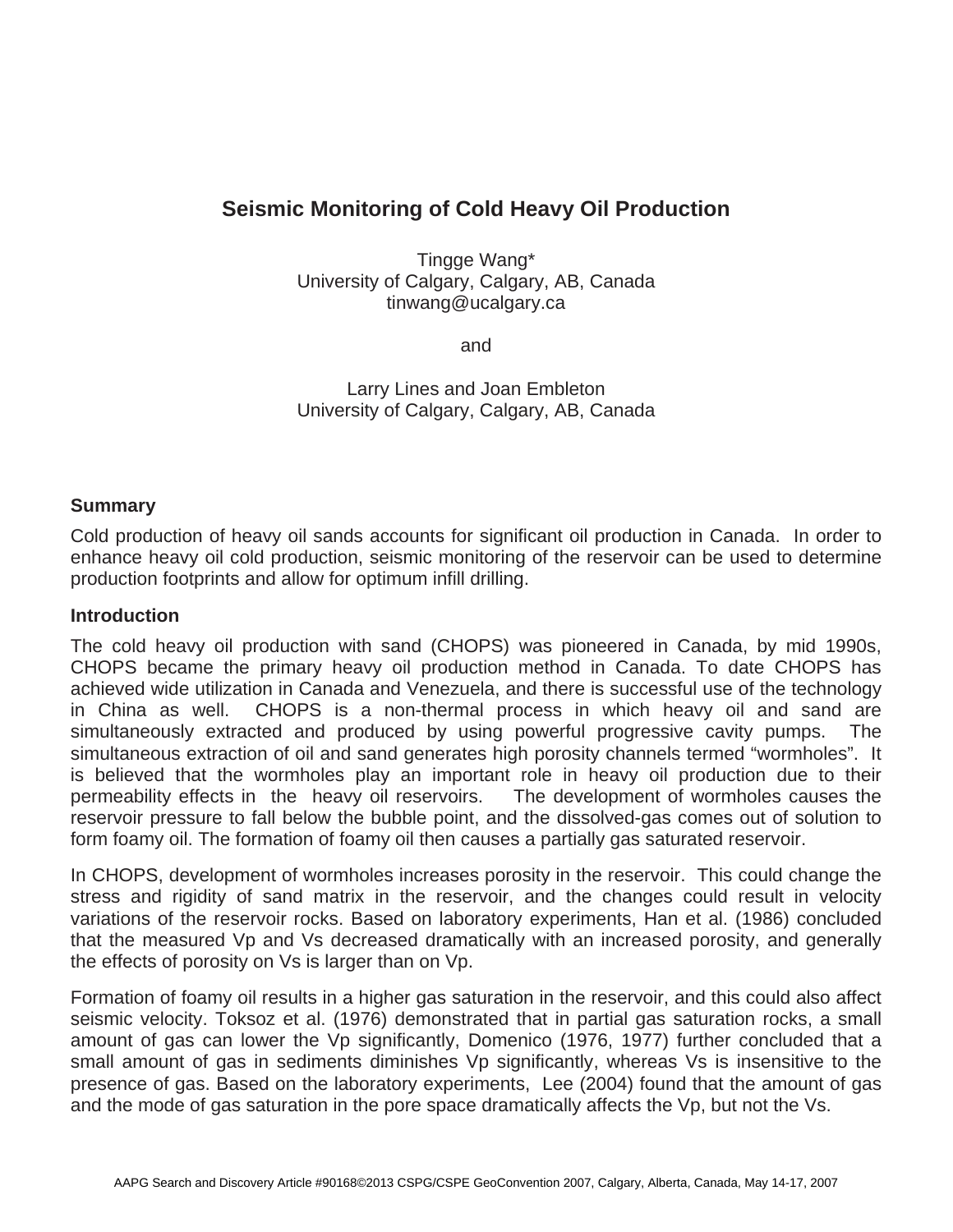# **Seismic Monitoring of Cold Heavy Oil Production**

Tingge Wang\* University of Calgary, Calgary, AB, Canada tinwang@ucalgary.ca

and

Larry Lines and Joan Embleton University of Calgary, Calgary, AB, Canada

## **Summary**

Cold production of heavy oil sands accounts for significant oil production in Canada. In order to enhance heavy oil cold production, seismic monitoring of the reservoir can be used to determine production footprints and allow for optimum infill drilling.

### **Introduction**

The cold heavy oil production with sand (CHOPS) was pioneered in Canada, by mid 1990s, CHOPS became the primary heavy oil production method in Canada. To date CHOPS has achieved wide utilization in Canada and Venezuela, and there is successful use of the technology in China as well. CHOPS is a non-thermal process in which heavy oil and sand are simultaneously extracted and produced by using powerful progressive cavity pumps. The simultaneous extraction of oil and sand generates high porosity channels termed "wormholes". It is believed that the wormholes play an important role in heavy oil production due to their permeability effects in the heavy oil reservoirs. The development of wormholes causes the reservoir pressure to fall below the bubble point, and the dissolved-gas comes out of solution to form foamy oil. The formation of foamy oil then causes a partially gas saturated reservoir.

In CHOPS, development of wormholes increases porosity in the reservoir. This could change the stress and rigidity of sand matrix in the reservoir, and the changes could result in velocity variations of the reservoir rocks. Based on laboratory experiments, Han et al. (1986) concluded that the measured Vp and Vs decreased dramatically with an increased porosity, and generally the effects of porosity on Vs is larger than on Vp.

Formation of foamy oil results in a higher gas saturation in the reservoir, and this could also affect seismic velocity. Toksoz et al. (1976) demonstrated that in partial gas saturation rocks, a small amount of gas can lower the Vp significantly, Domenico (1976, 1977) further concluded that a small amount of gas in sediments diminishes Vp significantly, whereas Vs is insensitive to the presence of gas. Based on the laboratory experiments, Lee (2004) found that the amount of gas and the mode of gas saturation in the pore space dramatically affects the Vp, but not the Vs.